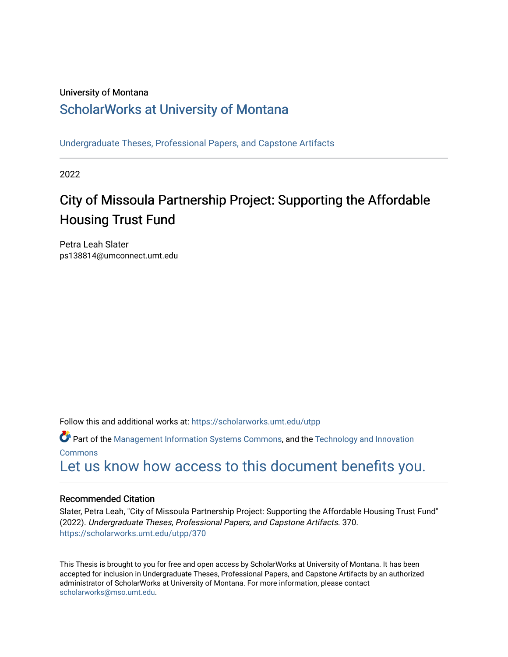#### University of Montana

## [ScholarWorks at University of Montana](https://scholarworks.umt.edu/)

[Undergraduate Theses, Professional Papers, and Capstone Artifacts](https://scholarworks.umt.edu/utpp)

2022

## City of Missoula Partnership Project: Supporting the Affordable Housing Trust Fund

Petra Leah Slater ps138814@umconnect.umt.edu

Follow this and additional works at: [https://scholarworks.umt.edu/utpp](https://scholarworks.umt.edu/utpp?utm_source=scholarworks.umt.edu%2Futpp%2F370&utm_medium=PDF&utm_campaign=PDFCoverPages)

Part of the [Management Information Systems Commons,](http://network.bepress.com/hgg/discipline/636?utm_source=scholarworks.umt.edu%2Futpp%2F370&utm_medium=PDF&utm_campaign=PDFCoverPages) and the [Technology and Innovation](http://network.bepress.com/hgg/discipline/644?utm_source=scholarworks.umt.edu%2Futpp%2F370&utm_medium=PDF&utm_campaign=PDFCoverPages) [Commons](http://network.bepress.com/hgg/discipline/644?utm_source=scholarworks.umt.edu%2Futpp%2F370&utm_medium=PDF&utm_campaign=PDFCoverPages) [Let us know how access to this document benefits you.](https://goo.gl/forms/s2rGfXOLzz71qgsB2) 

#### Recommended Citation

Slater, Petra Leah, "City of Missoula Partnership Project: Supporting the Affordable Housing Trust Fund" (2022). Undergraduate Theses, Professional Papers, and Capstone Artifacts. 370. [https://scholarworks.umt.edu/utpp/370](https://scholarworks.umt.edu/utpp/370?utm_source=scholarworks.umt.edu%2Futpp%2F370&utm_medium=PDF&utm_campaign=PDFCoverPages)

This Thesis is brought to you for free and open access by ScholarWorks at University of Montana. It has been accepted for inclusion in Undergraduate Theses, Professional Papers, and Capstone Artifacts by an authorized administrator of ScholarWorks at University of Montana. For more information, please contact [scholarworks@mso.umt.edu.](mailto:scholarworks@mso.umt.edu)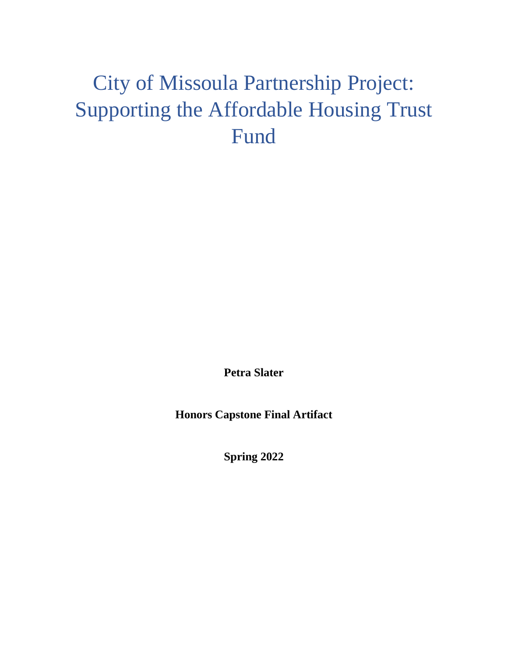# <span id="page-1-0"></span>City of Missoula Partnership Project: Supporting the Affordable Housing Trust Fund

**Petra Slater**

**Honors Capstone Final Artifact**

**Spring 2022**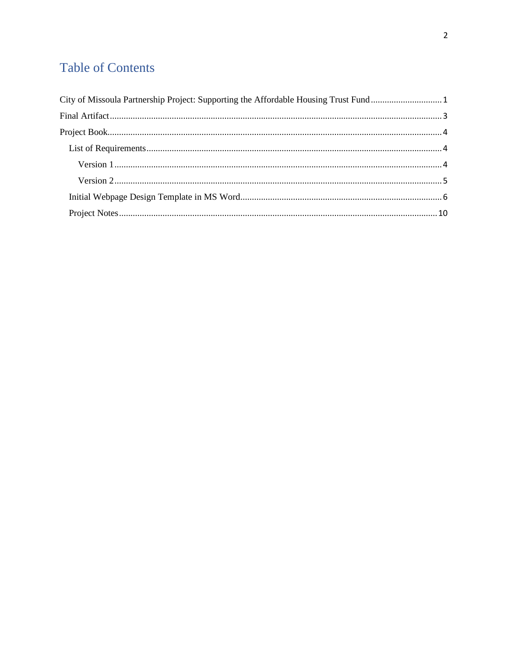## **Table of Contents**

| City of Missoula Partnership Project: Supporting the Affordable Housing Trust Fund 1 |  |
|--------------------------------------------------------------------------------------|--|
|                                                                                      |  |
|                                                                                      |  |
|                                                                                      |  |
|                                                                                      |  |
|                                                                                      |  |
|                                                                                      |  |
|                                                                                      |  |
|                                                                                      |  |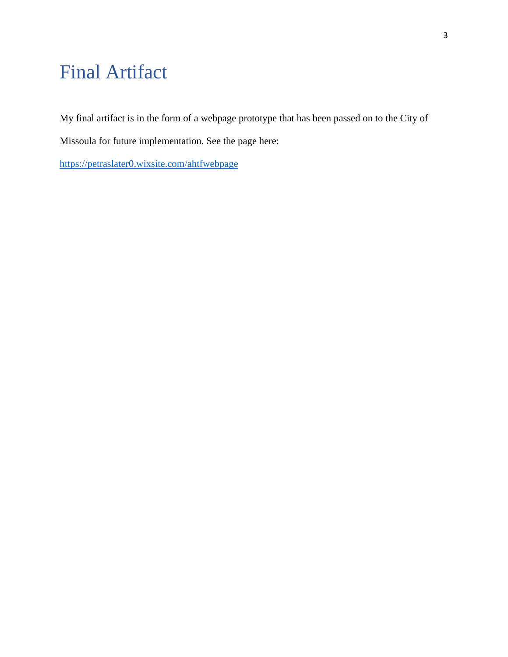## <span id="page-3-0"></span>Final Artifact

My final artifact is in the form of a webpage prototype that has been passed on to the City of

Missoula for future implementation. See the page here:

<https://petraslater0.wixsite.com/ahtfwebpage>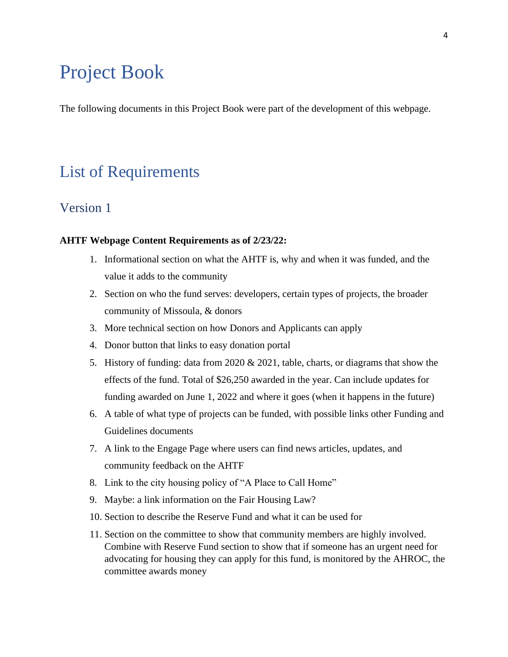## <span id="page-4-0"></span>Project Book

The following documents in this Project Book were part of the development of this webpage.

## <span id="page-4-1"></span>List of Requirements

### <span id="page-4-2"></span>Version 1

#### **AHTF Webpage Content Requirements as of 2/23/22:**

- 1. Informational section on what the AHTF is, why and when it was funded, and the value it adds to the community
- 2. Section on who the fund serves: developers, certain types of projects, the broader community of Missoula, & donors
- 3. More technical section on how Donors and Applicants can apply
- 4. Donor button that links to easy donation portal
- 5. History of funding: data from 2020 & 2021, table, charts, or diagrams that show the effects of the fund. Total of \$26,250 awarded in the year. Can include updates for funding awarded on June 1, 2022 and where it goes (when it happens in the future)
- 6. A table of what type of projects can be funded, with possible links other Funding and Guidelines documents
- 7. A link to the Engage Page where users can find news articles, updates, and community feedback on the AHTF
- 8. Link to the city housing policy of "A Place to Call Home"
- 9. Maybe: a link information on the Fair Housing Law?
- 10. Section to describe the Reserve Fund and what it can be used for
- 11. Section on the committee to show that community members are highly involved. Combine with Reserve Fund section to show that if someone has an urgent need for advocating for housing they can apply for this fund, is monitored by the AHROC, the committee awards money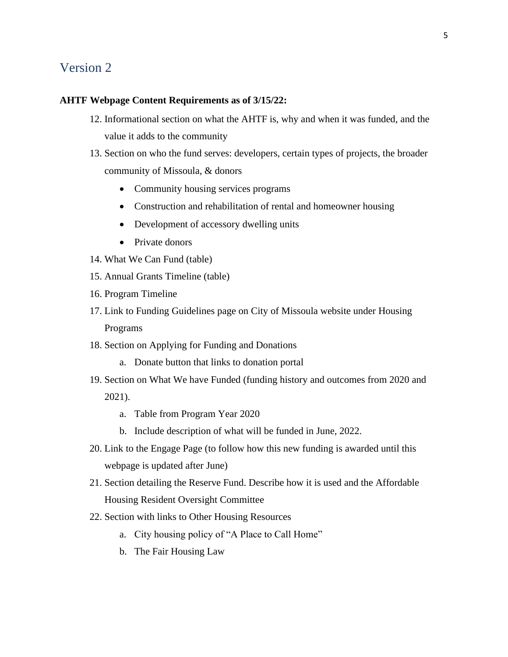### <span id="page-5-0"></span>Version 2

#### **AHTF Webpage Content Requirements as of 3/15/22:**

- 12. Informational section on what the AHTF is, why and when it was funded, and the value it adds to the community
- 13. Section on who the fund serves: developers, certain types of projects, the broader community of Missoula, & donors
	- Community housing services programs
	- Construction and rehabilitation of rental and homeowner housing
	- Development of accessory dwelling units
	- Private donors
- 14. What We Can Fund (table)
- 15. Annual Grants Timeline (table)
- 16. Program Timeline
- 17. Link to Funding Guidelines page on City of Missoula website under Housing Programs
- 18. Section on Applying for Funding and Donations
	- a. Donate button that links to donation portal
- 19. Section on What We have Funded (funding history and outcomes from 2020 and 2021).
	- a. Table from Program Year 2020
	- b. Include description of what will be funded in June, 2022.
- 20. Link to the Engage Page (to follow how this new funding is awarded until this webpage is updated after June)
- 21. Section detailing the Reserve Fund. Describe how it is used and the Affordable Housing Resident Oversight Committee
- 22. Section with links to Other Housing Resources
	- a. City housing policy of "A Place to Call Home"
	- b. The Fair Housing Law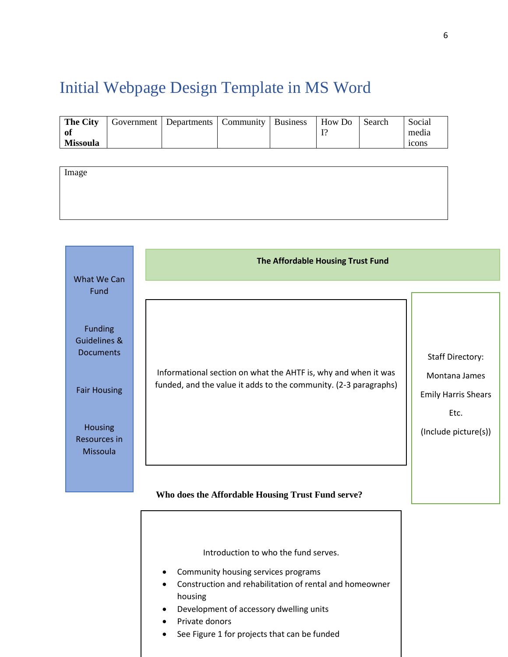## <span id="page-6-0"></span>Initial Webpage Design Template in MS Word

| <b>The City</b> | Government   Departments   Community   Business |  | How Do | Search | Social            |
|-----------------|-------------------------------------------------|--|--------|--------|-------------------|
| - of            |                                                 |  |        |        | media             |
| <b>Missoula</b> |                                                 |  |        |        | <sub>1</sub> cons |

| Image |  |  |
|-------|--|--|
|       |  |  |
|       |  |  |
|       |  |  |

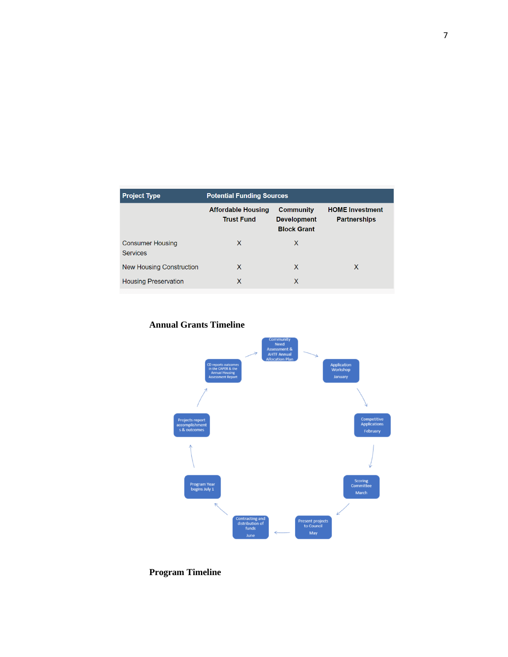| <b>Project Type</b>                        | <b>Potential Funding Sources</b>               |                                                              |                                               |  |  |
|--------------------------------------------|------------------------------------------------|--------------------------------------------------------------|-----------------------------------------------|--|--|
|                                            | <b>Affordable Housing</b><br><b>Trust Fund</b> | <b>Community</b><br><b>Development</b><br><b>Block Grant</b> | <b>HOME Investment</b><br><b>Partnerships</b> |  |  |
| <b>Consumer Housing</b><br><b>Services</b> | X                                              | X                                                            |                                               |  |  |
| <b>New Housing Construction</b>            | X                                              | X                                                            | X                                             |  |  |
| <b>Housing Preservation</b>                | X                                              | X                                                            |                                               |  |  |





## **Program Timeline**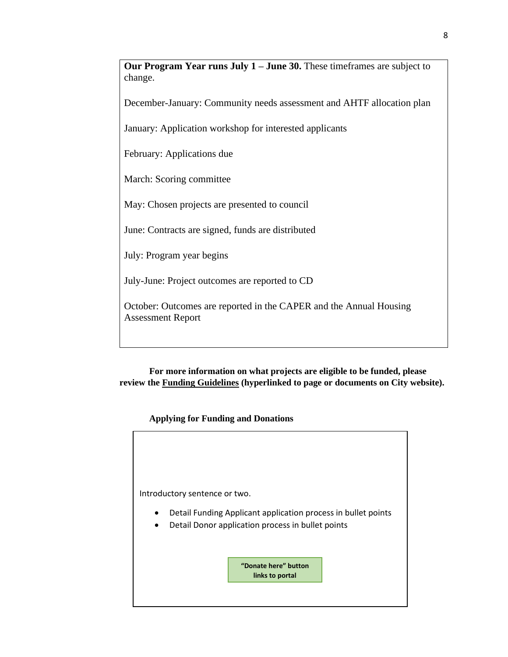**Our Program Year runs July 1 – June 30.** These timeframes are subject to change.

December-January: Community needs assessment and AHTF allocation plan

January: Application workshop for interested applicants

February: Applications due

March: Scoring committee

May: Chosen projects are presented to council

June: Contracts are signed, funds are distributed

July: Program year begins

July-June: Project outcomes are reported to CD

October: Outcomes are reported in the CAPER and the Annual Housing Assessment Report

**For more information on what projects are eligible to be funded, please review the Funding Guidelines (hyperlinked to page or documents on City website).**

**Applying for Funding and Donations**

Introductory sentence or two. • Detail Funding Applicant application process in bullet points • Detail Donor application process in bullet points **"Donate here" button links to portal**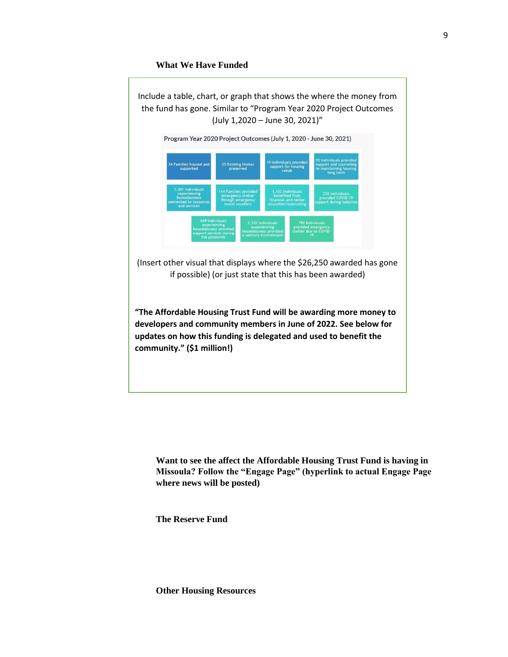#### **What We Have Funded**



**Want to see the affect the Affordable Housing Trust Fund is having in Missoula? Follow the "Engage Page" (hyperlink to actual Engage Page where news will be posted)**

**The Reserve Fund** 

**Other Housing Resources**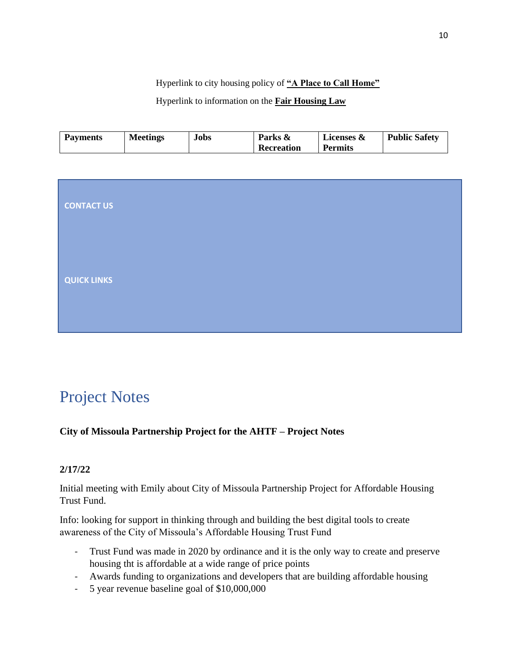Hyperlink to city housing policy of **"A Place to Call Home"**

Hyperlink to information on the **Fair Housing Law**

| <b>Payments</b><br><b>Meetings</b><br><b>Jobs</b> | Parks &<br>Recreation | Licenses &<br><b>Permits</b> | <b>Public Safety</b> |
|---------------------------------------------------|-----------------------|------------------------------|----------------------|
|---------------------------------------------------|-----------------------|------------------------------|----------------------|

| <b>CONTACT US</b>  |  |  |  |
|--------------------|--|--|--|
| <b>QUICK LINKS</b> |  |  |  |
|                    |  |  |  |

## <span id="page-10-0"></span>Project Notes

### **City of Missoula Partnership Project for the AHTF – Project Notes**

### **2/17/22**

Initial meeting with Emily about City of Missoula Partnership Project for Affordable Housing Trust Fund.

Info: looking for support in thinking through and building the best digital tools to create awareness of the City of Missoula's Affordable Housing Trust Fund

- Trust Fund was made in 2020 by ordinance and it is the only way to create and preserve housing tht is affordable at a wide range of price points
- Awards funding to organizations and developers that are building affordable housing
- 5 year revenue baseline goal of \$10,000,000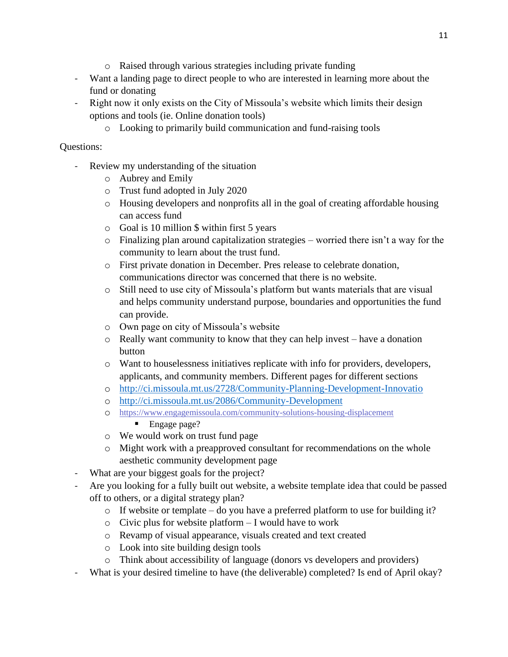- o Raised through various strategies including private funding
- Want a landing page to direct people to who are interested in learning more about the fund or donating
- Right now it only exists on the City of Missoula's website which limits their design options and tools (ie. Online donation tools)
	- o Looking to primarily build communication and fund-raising tools

### Questions:

- Review my understanding of the situation
	- o Aubrey and Emily
	- o Trust fund adopted in July 2020
	- o Housing developers and nonprofits all in the goal of creating affordable housing can access fund
	- o Goal is 10 million \$ within first 5 years
	- o Finalizing plan around capitalization strategies worried there isn't a way for the community to learn about the trust fund.
	- o First private donation in December. Pres release to celebrate donation, communications director was concerned that there is no website.
	- o Still need to use city of Missoula's platform but wants materials that are visual and helps community understand purpose, boundaries and opportunities the fund can provide.
	- o Own page on city of Missoula's website
	- $\circ$  Really want community to know that they can help invest have a donation button
	- o Want to houselessness initiatives replicate with info for providers, developers, applicants, and community members. Different pages for different sections
	- o <http://ci.missoula.mt.us/2728/Community-Planning-Development-Innovatio>
	- o <http://ci.missoula.mt.us/2086/Community-Development>
	- o <https://www.engagemissoula.com/community-solutions-housing-displacement> ■ Engage page?
	- o We would work on trust fund page
	- o Might work with a preapproved consultant for recommendations on the whole aesthetic community development page
- What are your biggest goals for the project?
- Are you looking for a fully built out website, a website template idea that could be passed off to others, or a digital strategy plan?
	- o If website or template do you have a preferred platform to use for building it?
	- o Civic plus for website platform I would have to work
	- o Revamp of visual appearance, visuals created and text created
	- o Look into site building design tools
	- o Think about accessibility of language (donors vs developers and providers)
- What is your desired timeline to have (the deliverable) completed? Is end of April okay?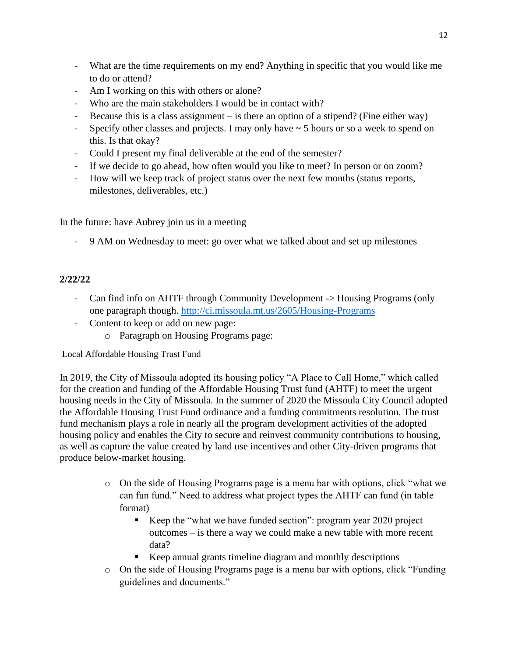- What are the time requirements on my end? Anything in specific that you would like me to do or attend?
- Am I working on this with others or alone?
- Who are the main stakeholders I would be in contact with?
- Because this is a class assignment is there an option of a stipend? (Fine either way)
- Specify other classes and projects. I may only have  $\sim$  5 hours or so a week to spend on this. Is that okay?
- Could I present my final deliverable at the end of the semester?
- If we decide to go ahead, how often would you like to meet? In person or on zoom?
- How will we keep track of project status over the next few months (status reports, milestones, deliverables, etc.)

In the future: have Aubrey join us in a meeting

- 9 AM on Wednesday to meet: go over what we talked about and set up milestones

### **2/22/22**

- Can find info on AHTF through Community Development -> Housing Programs (only one paragraph though.<http://ci.missoula.mt.us/2605/Housing-Programs>
- Content to keep or add on new page:
	- o Paragraph on Housing Programs page:

Local Affordable Housing Trust Fund

In 2019, the City of Missoula adopted its housing policy "A Place to Call Home," which called for the creation and funding of the Affordable Housing Trust fund (AHTF) to meet the urgent housing needs in the City of Missoula. In the summer of 2020 the Missoula City Council adopted the Affordable Housing Trust Fund ordinance and a funding commitments resolution. The trust fund mechanism plays a role in nearly all the program development activities of the adopted housing policy and enables the City to secure and reinvest community contributions to housing, as well as capture the value created by land use incentives and other City-driven programs that produce below-market housing.

- o On the side of Housing Programs page is a menu bar with options, click "what we can fun fund." Need to address what project types the AHTF can fund (in table format)
	- Keep the "what we have funded section": program year 2020 project outcomes – is there a way we could make a new table with more recent data?
	- Keep annual grants timeline diagram and monthly descriptions
- o On the side of Housing Programs page is a menu bar with options, click "Funding guidelines and documents."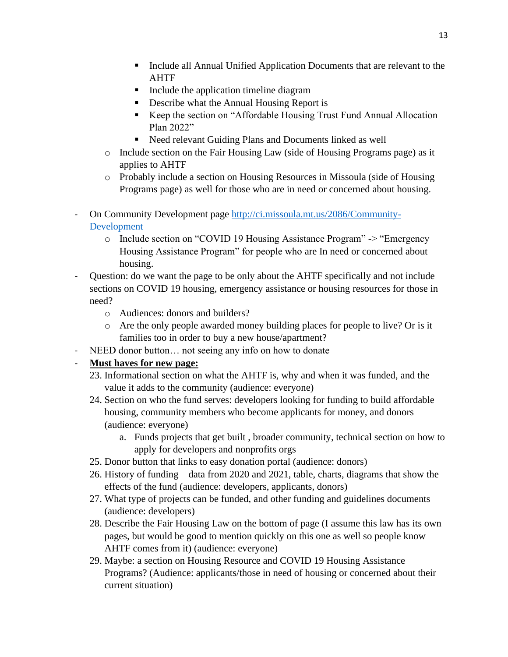- Include all Annual Unified Application Documents that are relevant to the AHTF
- Include the application timeline diagram
- Describe what the Annual Housing Report is
- Keep the section on "Affordable Housing Trust Fund Annual Allocation" Plan 2022"
- Need relevant Guiding Plans and Documents linked as well
- o Include section on the Fair Housing Law (side of Housing Programs page) as it applies to AHTF
- o Probably include a section on Housing Resources in Missoula (side of Housing Programs page) as well for those who are in need or concerned about housing.
- On Community Development page [http://ci.missoula.mt.us/2086/Community-](http://ci.missoula.mt.us/2086/Community-Development)[Development](http://ci.missoula.mt.us/2086/Community-Development)
	- o Include section on "COVID 19 Housing Assistance Program" -> "Emergency Housing Assistance Program" for people who are In need or concerned about housing.
- Question: do we want the page to be only about the AHTF specifically and not include sections on COVID 19 housing, emergency assistance or housing resources for those in need?
	- o Audiences: donors and builders?
	- o Are the only people awarded money building places for people to live? Or is it families too in order to buy a new house/apartment?
- NEED donor button… not seeing any info on how to donate

#### - **Must haves for new page:**

- 23. Informational section on what the AHTF is, why and when it was funded, and the value it adds to the community (audience: everyone)
- 24. Section on who the fund serves: developers looking for funding to build affordable housing, community members who become applicants for money, and donors (audience: everyone)
	- a. Funds projects that get built , broader community, technical section on how to apply for developers and nonprofits orgs
- 25. Donor button that links to easy donation portal (audience: donors)
- 26. History of funding data from 2020 and 2021, table, charts, diagrams that show the effects of the fund (audience: developers, applicants, donors)
- 27. What type of projects can be funded, and other funding and guidelines documents (audience: developers)
- 28. Describe the Fair Housing Law on the bottom of page (I assume this law has its own pages, but would be good to mention quickly on this one as well so people know AHTF comes from it) (audience: everyone)
- 29. Maybe: a section on Housing Resource and COVID 19 Housing Assistance Programs? (Audience: applicants/those in need of housing or concerned about their current situation)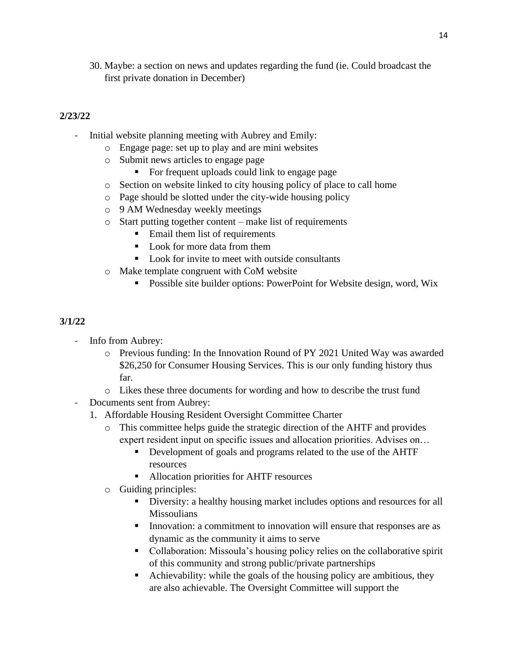30. Maybe: a section on news and updates regarding the fund (ie. Could broadcast the first private donation in December)

#### **2/23/22**

- Initial website planning meeting with Aubrey and Emily:
	- o Engage page: set up to play and are mini websites
	- o Submit news articles to engage page
		- For frequent uploads could link to engage page
	- o Section on website linked to city housing policy of place to call home
	- o Page should be slotted under the city-wide housing policy
	- o 9 AM Wednesday weekly meetings
	- o Start putting together content make list of requirements
		- Email them list of requirements
		- Look for more data from them
		- Look for invite to meet with outside consultants
	- o Make template congruent with CoM website
		- Possible site builder options: PowerPoint for Website design, word, Wix

#### **3/1/22**

- Info from Aubrey:
	- o Previous funding: In the Innovation Round of PY 2021 United Way was awarded \$26,250 for Consumer Housing Services. This is our only funding history thus far.
	- o Likes these three documents for wording and how to describe the trust fund
- Documents sent from Aubrey:
	- 1. Affordable Housing Resident Oversight Committee Charter
		- o This committee helps guide the strategic direction of the AHTF and provides expert resident input on specific issues and allocation priorities. Advises on…
			- Development of goals and programs related to the use of the AHTF resources
			- Allocation priorities for AHTF resources
		- o Guiding principles:
			- **•** Diversity: a healthy housing market includes options and resources for all **Missoulians**
			- **•** Innovation: a commitment to innovation will ensure that responses are as dynamic as the community it aims to serve
			- Collaboration: Missoula's housing policy relies on the collaborative spirit of this community and strong public/private partnerships
			- Achievability: while the goals of the housing policy are ambitious, they are also achievable. The Oversight Committee will support the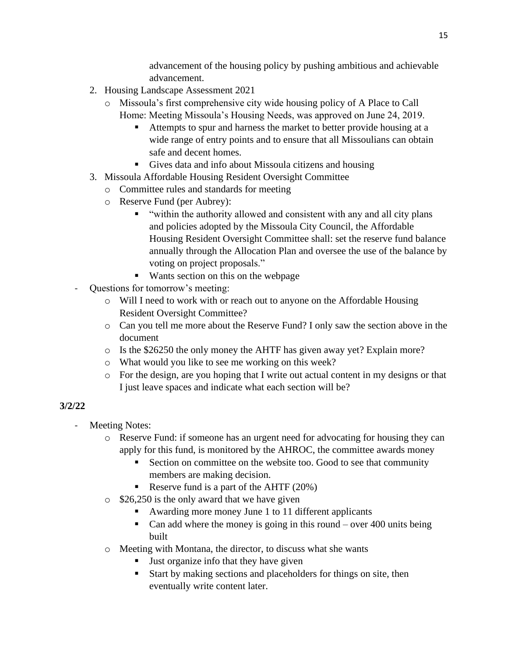advancement of the housing policy by pushing ambitious and achievable advancement.

- 2. Housing Landscape Assessment 2021
	- o Missoula's first comprehensive city wide housing policy of A Place to Call Home: Meeting Missoula's Housing Needs, was approved on June 24, 2019.
		- Attempts to spur and harness the market to better provide housing at a wide range of entry points and to ensure that all Missoulians can obtain safe and decent homes.
		- Gives data and info about Missoula citizens and housing
- 3. Missoula Affordable Housing Resident Oversight Committee
	- o Committee rules and standards for meeting
		- o Reserve Fund (per Aubrey):
			- "within the authority allowed and consistent with any and all city plans and policies adopted by the Missoula City Council, the Affordable Housing Resident Oversight Committee shall: set the reserve fund balance annually through the Allocation Plan and oversee the use of the balance by voting on project proposals."
			- Wants section on this on the webpage
- Questions for tomorrow's meeting:
	- o Will I need to work with or reach out to anyone on the Affordable Housing Resident Oversight Committee?
	- o Can you tell me more about the Reserve Fund? I only saw the section above in the document
	- o Is the \$26250 the only money the AHTF has given away yet? Explain more?
	- o What would you like to see me working on this week?
	- $\circ$  For the design, are you hoping that I write out actual content in my designs or that I just leave spaces and indicate what each section will be?

### **3/2/22**

- Meeting Notes:
	- o Reserve Fund: if someone has an urgent need for advocating for housing they can apply for this fund, is monitored by the AHROC, the committee awards money
		- Section on committee on the website too. Good to see that community members are making decision.
		- Reserve fund is a part of the AHTF  $(20%)$
	- o \$26,250 is the only award that we have given
		- Awarding more money June 1 to 11 different applicants
		- Can add where the money is going in this round over 400 units being built
	- o Meeting with Montana, the director, to discuss what she wants
		- Just organize info that they have given
		- Start by making sections and placeholders for things on site, then eventually write content later.